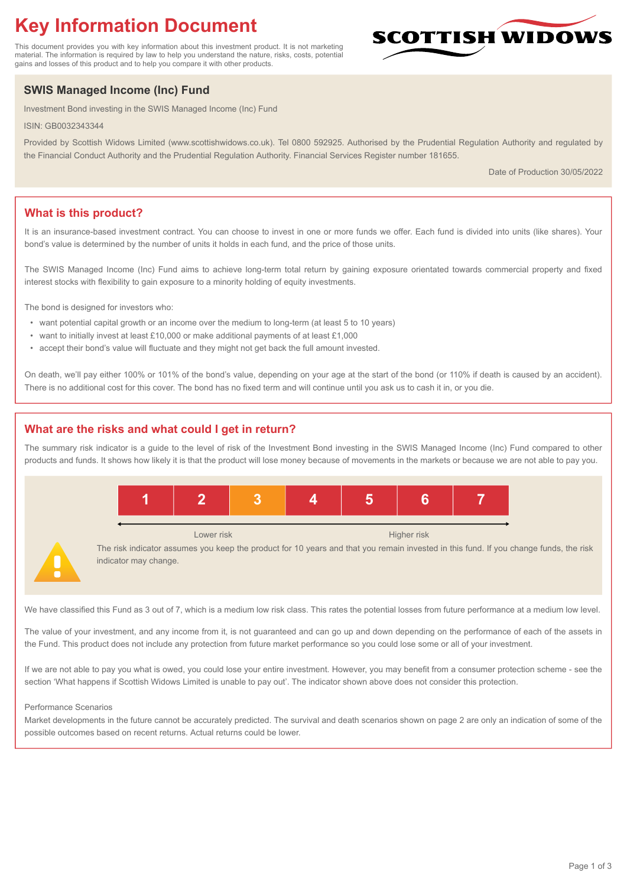# **Key Information Document**

This document provides you with key information about this investment product. It is not marketing material. The information is required by law to help you understand the nature, risks, costs, potential gains and losses of this product and to help you compare it with other products.

## **SWIS Managed Income (Inc) Fund**

Investment Bond investing in the SWIS Managed Income (Inc) Fund

ISIN: GB0032343344

Provided by Scottish Widows Limited (www.scottishwidows.co.uk). Tel 0800 592925. Authorised by the Prudential Regulation Authority and regulated by the Financial Conduct Authority and the Prudential Regulation Authority. Financial Services Register number 181655.

Date of Production 30/05/2022

**SCOTTISH WIDOW** 

## **What is this product?**

It is an insurance-based investment contract. You can choose to invest in one or more funds we offer. Each fund is divided into units (like shares). Your bond's value is determined by the number of units it holds in each fund, and the price of those units.

The SWIS Managed Income (Inc) Fund aims to achieve long-term total return by gaining exposure orientated towards commercial property and fixed interest stocks with flexibility to gain exposure to a minority holding of equity investments.

The bond is designed for investors who:

- want potential capital growth or an income over the medium to long-term (at least 5 to 10 years)
- want to initially invest at least £10,000 or make additional payments of at least £1,000
- accept their bond's value will fluctuate and they might not get back the full amount invested.

On death, we'll pay either 100% or 101% of the bond's value, depending on your age at the start of the bond (or 110% if death is caused by an accident). There is no additional cost for this cover. The bond has no fixed term and will continue until you ask us to cash it in, or you die.

## **What are the risks and what could I get in return?**

The summary risk indicator is a guide to the level of risk of the Investment Bond investing in the SWIS Managed Income (Inc) Fund compared to other products and funds. It shows how likely it is that the product will lose money because of movements in the markets or because we are not able to pay you.



We have classified this Fund as 3 out of 7, which is a medium low risk class. This rates the potential losses from future performance at a medium low level.

The value of your investment, and any income from it, is not guaranteed and can go up and down depending on the performance of each of the assets in the Fund. This product does not include any protection from future market performance so you could lose some or all of your investment.

If we are not able to pay you what is owed, you could lose your entire investment. However, you may benefit from a consumer protection scheme - see the section 'What happens if Scottish Widows Limited is unable to pay out'. The indicator shown above does not consider this protection.

#### Performance Scenarios

Market developments in the future cannot be accurately predicted. The survival and death scenarios shown on page 2 are only an indication of some of the possible outcomes based on recent returns. Actual returns could be lower.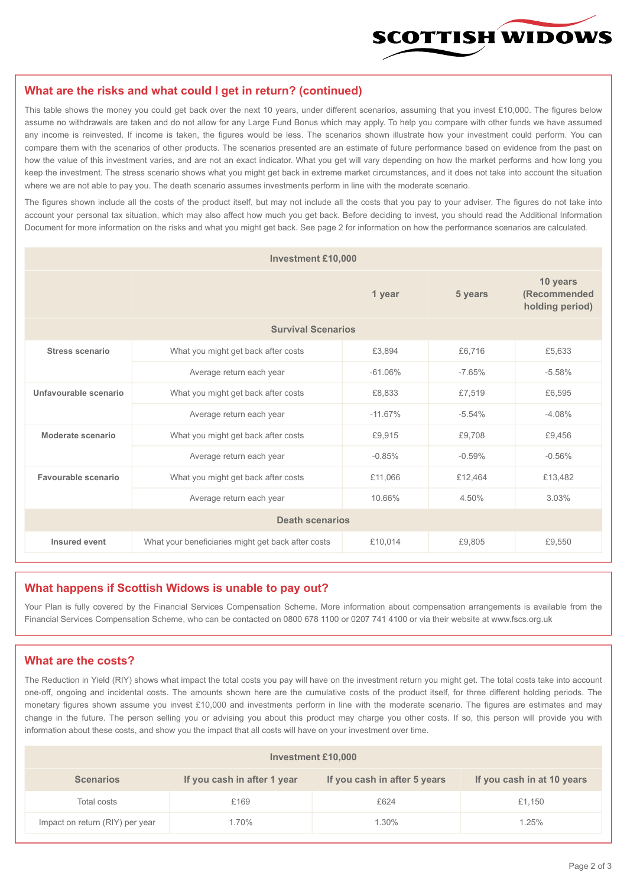

#### **What are the risks and what could I get in return? (continued)**

This table shows the money you could get back over the next 10 years, under different scenarios, assuming that you invest £10,000. The figures below assume no withdrawals are taken and do not allow for any Large Fund Bonus which may apply. To help you compare with other funds we have assumed any income is reinvested. If income is taken, the figures would be less. The scenarios shown illustrate how your investment could perform. You can compare them with the scenarios of other products. The scenarios presented are an estimate of future performance based on evidence from the past on how the value of this investment varies, and are not an exact indicator. What you get will vary depending on how the market performs and how long you keep the investment. The stress scenario shows what you might get back in extreme market circumstances, and it does not take into account the situation where we are not able to pay you. The death scenario assumes investments perform in line with the moderate scenario.

The figures shown include all the costs of the product itself, but may not include all the costs that you pay to your adviser. The figures do not take into account your personal tax situation, which may also affect how much you get back. Before deciding to invest, you should read the Additional Information Document for more information on the risks and what you might get back. See page 2 for information on how the performance scenarios are calculated.

| <b>Investment £10,000</b> |                                                    |           |          |                                             |  |  |  |
|---------------------------|----------------------------------------------------|-----------|----------|---------------------------------------------|--|--|--|
|                           | 1 year                                             |           | 5 years  | 10 years<br>(Recommended<br>holding period) |  |  |  |
| <b>Survival Scenarios</b> |                                                    |           |          |                                             |  |  |  |
| <b>Stress scenario</b>    | What you might get back after costs<br>£3,894      |           | £6,716   | £5,633                                      |  |  |  |
|                           | Average return each year<br>$-61.06%$              |           | $-7.65%$ | $-5.58%$                                    |  |  |  |
| Unfavourable scenario     | What you might get back after costs<br>£8,833      |           | £7,519   | £6,595                                      |  |  |  |
|                           | Average return each year                           | $-11.67%$ | $-5.54%$ | $-4.08%$                                    |  |  |  |
| Moderate scenario         | What you might get back after costs                | £9,915    | £9,708   | £9,456                                      |  |  |  |
|                           | Average return each year                           | $-0.85%$  | $-0.59%$ | $-0.56%$                                    |  |  |  |
| Favourable scenario       | What you might get back after costs                | £11,066   | £12,464  | £13,482                                     |  |  |  |
|                           | 10.66%<br>Average return each year                 |           | 4.50%    | 3.03%                                       |  |  |  |
| <b>Death scenarios</b>    |                                                    |           |          |                                             |  |  |  |
| Insured event             | What your beneficiaries might get back after costs | £10,014   | £9,805   | £9,550                                      |  |  |  |

#### **What happens if Scottish Widows is unable to pay out?**

Your Plan is fully covered by the Financial Services Compensation Scheme. More information about compensation arrangements is available from the Financial Services Compensation Scheme, who can be contacted on 0800 678 1100 or 0207 741 4100 or via their website at www.fscs.org.uk

#### **What are the costs?**

The Reduction in Yield (RIY) shows what impact the total costs you pay will have on the investment return you might get. The total costs take into account one-off, ongoing and incidental costs. The amounts shown here are the cumulative costs of the product itself, for three different holding periods. The monetary figures shown assume you invest £10,000 and investments perform in line with the moderate scenario. The figures are estimates and may change in the future. The person selling you or advising you about this product may charge you other costs. If so, this person will provide you with information about these costs, and show you the impact that all costs will have on your investment over time.

| Investment £10,000              |                             |                              |                            |  |  |  |
|---------------------------------|-----------------------------|------------------------------|----------------------------|--|--|--|
| <b>Scenarios</b>                | If you cash in after 1 year | If you cash in after 5 years | If you cash in at 10 years |  |  |  |
| Total costs                     | £169                        | £624                         | £1,150                     |  |  |  |
| Impact on return (RIY) per year | 1.70%                       | 1.30%                        | 1.25%                      |  |  |  |